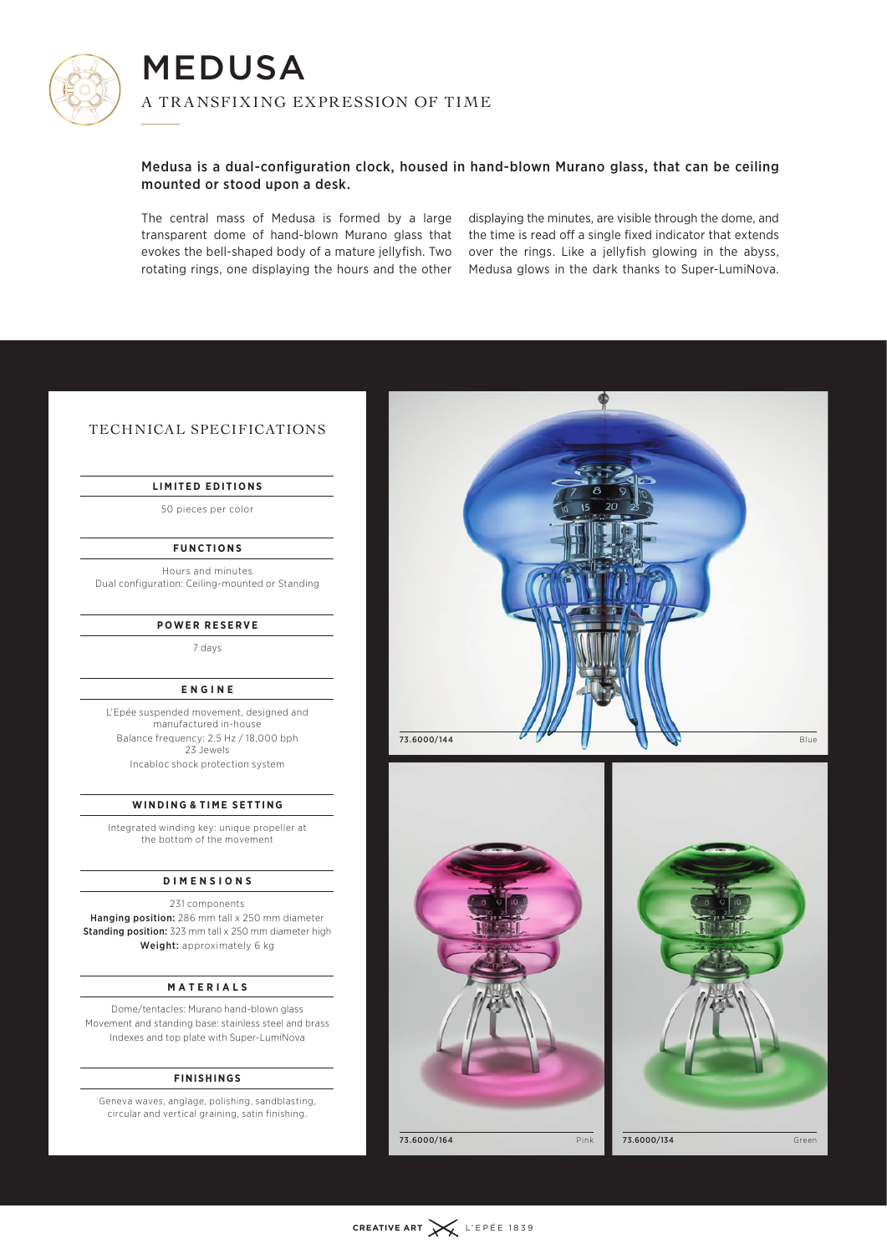

MEDUSA A TRANSFIXING EXPRESSION OF TIME IVI I<br>A TR

# Medusa is a dual-configuration clock, housed in hand-blown Murano glass, that can be ceiling mounted or stood upon a desk.

The central mass of Medusa is formed by a large transparent dome of hand-blown Murano glass that evokes the bell-shaped body of a mature jellyfish. Two rotating rings, one displaying the hours and the other

displaying the minutes, are visible through the dome, and the time is read off a single fixed indicator that extends over the rings. Like a jellyfish glowing in the abyss, Medusa glows in the dark thanks to Super-LumiNova.

# TECHNICAL SPECIFICATIONS

## **LIMITED EDITIONS**

50 pieces per color

## **FUNCTIONS**

Hours and minutes Dual configuration: Ceiling-mounted or Standing

### **POWER RESERVE**

7 days

#### **ENGINE**

L'Epée suspended movement, designed and manufactured in-house Balance frequency: 2.5 Hz / 18,000 bph 23 Jewels Incabloc shock protection system

#### **WINDING & TIME SETTING**

Integrated winding key: unique propeller at the bottom of the movement

#### **DIMENSIONS**

231 components Hanging position: 286 mm tall x 250 mm diameter Standing position: 323 mm tall x 250 mm diameter high Weight: approximately 6 kg

#### **MATERIALS**

Dome/tentacles: Murano hand-blown glass Movement and standing base: stainless steel and brass Indexes and top plate with Super-LumiNova

#### **FINISHINGS**

Geneva waves, anglage, polishing, sandblasting, circular and vertical graining, satin finishing.







73.6000/164 Pink 73.6000/134 Green